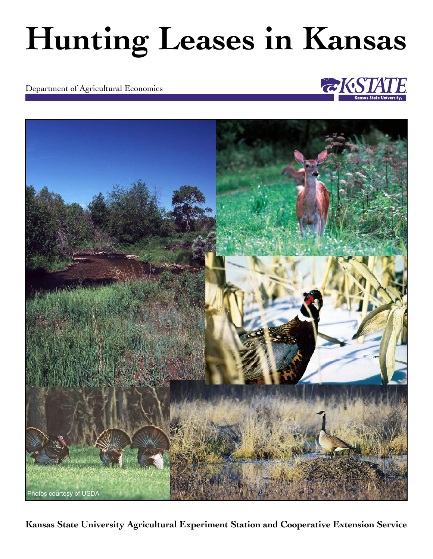# **Hunting Leases in Kansas**

Department of Agricultural Economics





**Kansas State University Agricultural Experiment Station and Cooperative Extension Service**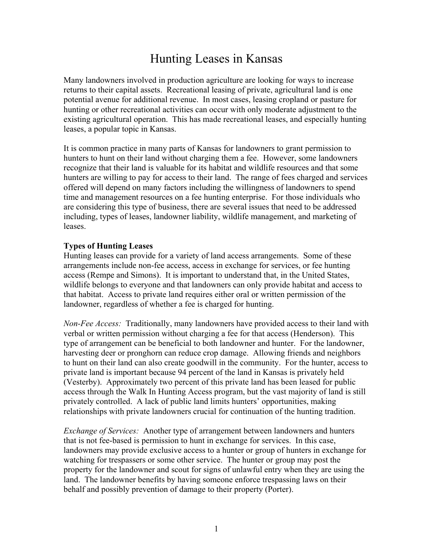## Hunting Leases in Kansas

Many landowners involved in production agriculture are looking for ways to increase returns to their capital assets. Recreational leasing of private, agricultural land is one potential avenue for additional revenue. In most cases, leasing cropland or pasture for hunting or other recreational activities can occur with only moderate adjustment to the existing agricultural operation. This has made recreational leases, and especially hunting leases, a popular topic in Kansas.

It is common practice in many parts of Kansas for landowners to grant permission to hunters to hunt on their land without charging them a fee. However, some landowners recognize that their land is valuable for its habitat and wildlife resources and that some hunters are willing to pay for access to their land. The range of fees charged and services offered will depend on many factors including the willingness of landowners to spend time and management resources on a fee hunting enterprise. For those individuals who are considering this type of business, there are several issues that need to be addressed including, types of leases, landowner liability, wildlife management, and marketing of leases.

#### **Types of Hunting Leases**

Hunting leases can provide for a variety of land access arrangements. Some of these arrangements include non-fee access, access in exchange for services, or fee hunting access (Rempe and Simons). It is important to understand that, in the United States, wildlife belongs to everyone and that landowners can only provide habitat and access to that habitat. Access to private land requires either oral or written permission of the landowner, regardless of whether a fee is charged for hunting.

*Non-Fee Access:* Traditionally, many landowners have provided access to their land with verbal or written permission without charging a fee for that access (Henderson). This type of arrangement can be beneficial to both landowner and hunter. For the landowner, harvesting deer or pronghorn can reduce crop damage. Allowing friends and neighbors to hunt on their land can also create goodwill in the community. For the hunter, access to private land is important because 94 percent of the land in Kansas is privately held (Vesterby). Approximately two percent of this private land has been leased for public access through the Walk In Hunting Access program, but the vast majority of land is still privately controlled. A lack of public land limits hunters' opportunities, making relationships with private landowners crucial for continuation of the hunting tradition.

*Exchange of Services:* Another type of arrangement between landowners and hunters that is not fee-based is permission to hunt in exchange for services. In this case, landowners may provide exclusive access to a hunter or group of hunters in exchange for watching for trespassers or some other service. The hunter or group may post the property for the landowner and scout for signs of unlawful entry when they are using the land. The landowner benefits by having someone enforce trespassing laws on their behalf and possibly prevention of damage to their property (Porter).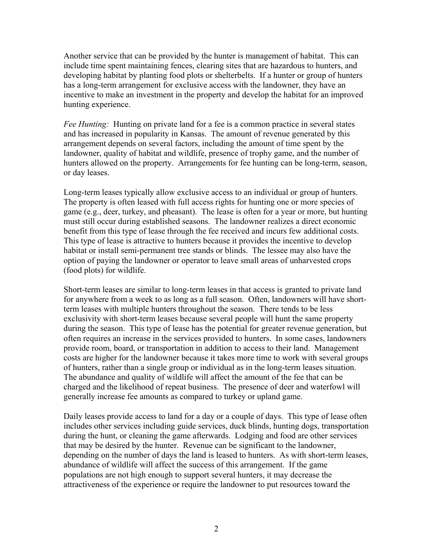Another service that can be provided by the hunter is management of habitat. This can include time spent maintaining fences, clearing sites that are hazardous to hunters, and developing habitat by planting food plots or shelterbelts. If a hunter or group of hunters has a long-term arrangement for exclusive access with the landowner, they have an incentive to make an investment in the property and develop the habitat for an improved hunting experience.

*Fee Hunting:* Hunting on private land for a fee is a common practice in several states and has increased in popularity in Kansas. The amount of revenue generated by this arrangement depends on several factors, including the amount of time spent by the landowner, quality of habitat and wildlife, presence of trophy game, and the number of hunters allowed on the property. Arrangements for fee hunting can be long-term, season, or day leases.

Long-term leases typically allow exclusive access to an individual or group of hunters. The property is often leased with full access rights for hunting one or more species of game (e.g., deer, turkey, and pheasant). The lease is often for a year or more, but hunting must still occur during established seasons. The landowner realizes a direct economic benefit from this type of lease through the fee received and incurs few additional costs. This type of lease is attractive to hunters because it provides the incentive to develop habitat or install semi-permanent tree stands or blinds. The lessee may also have the option of paying the landowner or operator to leave small areas of unharvested crops (food plots) for wildlife.

Short-term leases are similar to long-term leases in that access is granted to private land for anywhere from a week to as long as a full season. Often, landowners will have shortterm leases with multiple hunters throughout the season. There tends to be less exclusivity with short-term leases because several people will hunt the same property during the season. This type of lease has the potential for greater revenue generation, but often requires an increase in the services provided to hunters. In some cases, landowners provide room, board, or transportation in addition to access to their land. Management costs are higher for the landowner because it takes more time to work with several groups of hunters, rather than a single group or individual as in the long-term leases situation. The abundance and quality of wildlife will affect the amount of the fee that can be charged and the likelihood of repeat business. The presence of deer and waterfowl will generally increase fee amounts as compared to turkey or upland game.

Daily leases provide access to land for a day or a couple of days. This type of lease often includes other services including guide services, duck blinds, hunting dogs, transportation during the hunt, or cleaning the game afterwards. Lodging and food are other services that may be desired by the hunter. Revenue can be significant to the landowner, depending on the number of days the land is leased to hunters. As with short-term leases, abundance of wildlife will affect the success of this arrangement. If the game populations are not high enough to support several hunters, it may decrease the attractiveness of the experience or require the landowner to put resources toward the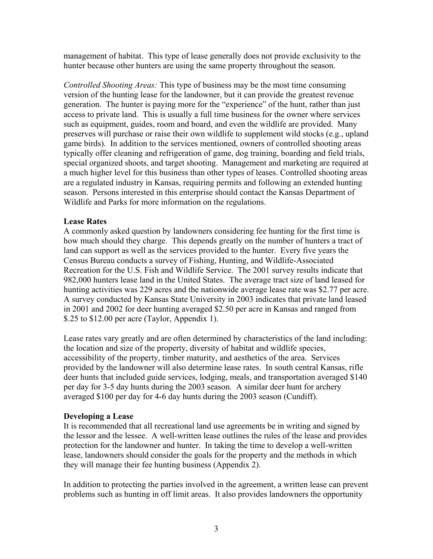management of habitat. This type of lease generally does not provide exclusivity to the hunter because other hunters are using the same property throughout the season.

*Controlled Shooting Areas:* This type of business may be the most time consuming version of the hunting lease for the landowner, but it can provide the greatest revenue generation. The hunter is paying more for the "experience" of the hunt, rather than just access to private land. This is usually a full time business for the owner where services such as equipment, guides, room and board, and even the wildlife are provided. Many preserves will purchase or raise their own wildlife to supplement wild stocks (e.g., upland game birds). In addition to the services mentioned, owners of controlled shooting areas typically offer cleaning and refrigeration of game, dog training, boarding and field trials, special organized shoots, and target shooting. Management and marketing are required at a much higher level for this business than other types of leases. Controlled shooting areas are a regulated industry in Kansas, requiring permits and following an extended hunting season. Persons interested in this enterprise should contact the Kansas Department of Wildlife and Parks for more information on the regulations.

#### **Lease Rates**

A commonly asked question by landowners considering fee hunting for the first time is how much should they charge. This depends greatly on the number of hunters a tract of land can support as well as the services provided to the hunter. Every five years the Census Bureau conducts a survey of Fishing, Hunting, and Wildlife-Associated Recreation for the U.S. Fish and Wildlife Service. The 2001 survey results indicate that 982,000 hunters lease land in the United States. The average tract size of land leased for hunting activities was 229 acres and the nationwide average lease rate was \$2.77 per acre. A survey conducted by Kansas State University in 2003 indicates that private land leased in 2001 and 2002 for deer hunting averaged \$2.50 per acre in Kansas and ranged from \$.25 to \$12.00 per acre (Taylor, Appendix 1).

Lease rates vary greatly and are often determined by characteristics of the land including: the location and size of the property, diversity of habitat and wildlife species, accessibility of the property, timber maturity, and aesthetics of the area. Services provided by the landowner will also determine lease rates. In south central Kansas, rifle deer hunts that included guide services, lodging, meals, and transportation averaged \$140 per day for 3-5 day hunts during the 2003 season. A similar deer hunt for archery averaged \$100 per day for 4-6 day hunts during the 2003 season (Cundiff).

#### **Developing a Lease**

It is recommended that all recreational land use agreements be in writing and signed by the lessor and the lessee. A well-written lease outlines the rules of the lease and provides protection for the landowner and hunter. In taking the time to develop a well-written lease, landowners should consider the goals for the property and the methods in which they will manage their fee hunting business (Appendix 2).

In addition to protecting the parties involved in the agreement, a written lease can prevent problems such as hunting in off limit areas. It also provides landowners the opportunity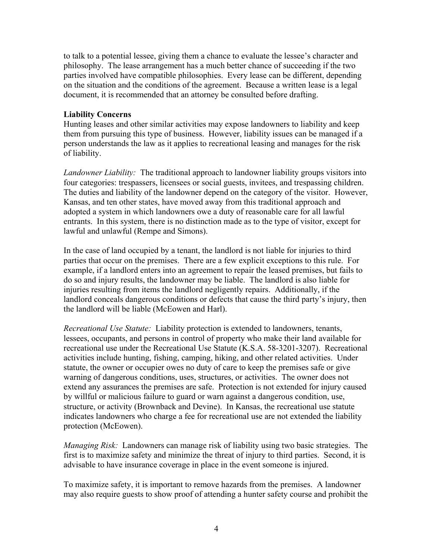to talk to a potential lessee, giving them a chance to evaluate the lessee's character and philosophy. The lease arrangement has a much better chance of succeeding if the two parties involved have compatible philosophies. Every lease can be different, depending on the situation and the conditions of the agreement. Because a written lease is a legal document, it is recommended that an attorney be consulted before drafting.

#### **Liability Concerns**

Hunting leases and other similar activities may expose landowners to liability and keep them from pursuing this type of business. However, liability issues can be managed if a person understands the law as it applies to recreational leasing and manages for the risk of liability.

*Landowner Liability:*The traditional approach to landowner liability groups visitors into four categories: trespassers, licensees or social guests, invitees, and trespassing children. The duties and liability of the landowner depend on the category of the visitor. However, Kansas, and ten other states, have moved away from this traditional approach and adopted a system in which landowners owe a duty of reasonable care for all lawful entrants. In this system, there is no distinction made as to the type of visitor, except for lawful and unlawful (Rempe and Simons).

In the case of land occupied by a tenant, the landlord is not liable for injuries to third parties that occur on the premises. There are a few explicit exceptions to this rule. For example, if a landlord enters into an agreement to repair the leased premises, but fails to do so and injury results, the landowner may be liable. The landlord is also liable for injuries resulting from items the landlord negligently repairs. Additionally, if the landlord conceals dangerous conditions or defects that cause the third party's injury, then the landlord will be liable (McEowen and Harl).

*Recreational Use Statute:* Liability protection is extended to landowners, tenants, lessees, occupants, and persons in control of property who make their land available for recreational use under the Recreational Use Statute (K.S.A. 58-3201-3207). Recreational activities include hunting, fishing, camping, hiking, and other related activities. Under statute, the owner or occupier owes no duty of care to keep the premises safe or give warning of dangerous conditions, uses, structures, or activities. The owner does not extend any assurances the premises are safe. Protection is not extended for injury caused by willful or malicious failure to guard or warn against a dangerous condition, use, structure, or activity (Brownback and Devine). In Kansas, the recreational use statute indicates landowners who charge a fee for recreational use are not extended the liability protection (McEowen).

*Managing Risk:*Landowners can manage risk of liability using two basic strategies. The first is to maximize safety and minimize the threat of injury to third parties. Second, it is advisable to have insurance coverage in place in the event someone is injured.

To maximize safety, it is important to remove hazards from the premises. A landowner may also require guests to show proof of attending a hunter safety course and prohibit the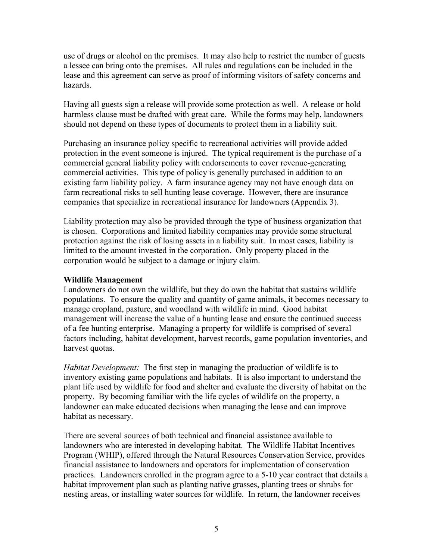use of drugs or alcohol on the premises. It may also help to restrict the number of guests a lessee can bring onto the premises. All rules and regulations can be included in the lease and this agreement can serve as proof of informing visitors of safety concerns and hazards.

Having all guests sign a release will provide some protection as well. A release or hold harmless clause must be drafted with great care. While the forms may help, landowners should not depend on these types of documents to protect them in a liability suit.

Purchasing an insurance policy specific to recreational activities will provide added protection in the event someone is injured. The typical requirement is the purchase of a commercial general liability policy with endorsements to cover revenue-generating commercial activities. This type of policy is generally purchased in addition to an existing farm liability policy. A farm insurance agency may not have enough data on farm recreational risks to sell hunting lease coverage. However, there are insurance companies that specialize in recreational insurance for landowners (Appendix 3).

Liability protection may also be provided through the type of business organization that is chosen. Corporations and limited liability companies may provide some structural protection against the risk of losing assets in a liability suit. In most cases, liability is limited to the amount invested in the corporation. Only property placed in the corporation would be subject to a damage or injury claim.

#### **Wildlife Management**

Landowners do not own the wildlife, but they do own the habitat that sustains wildlife populations. To ensure the quality and quantity of game animals, it becomes necessary to manage cropland, pasture, and woodland with wildlife in mind. Good habitat management will increase the value of a hunting lease and ensure the continued success of a fee hunting enterprise. Managing a property for wildlife is comprised of several factors including, habitat development, harvest records, game population inventories, and harvest quotas.

*Habitat Development:* The first step in managing the production of wildlife is to inventory existing game populations and habitats. It is also important to understand the plant life used by wildlife for food and shelter and evaluate the diversity of habitat on the property. By becoming familiar with the life cycles of wildlife on the property, a landowner can make educated decisions when managing the lease and can improve habitat as necessary.

There are several sources of both technical and financial assistance available to landowners who are interested in developing habitat. The Wildlife Habitat Incentives Program (WHIP), offered through the Natural Resources Conservation Service, provides financial assistance to landowners and operators for implementation of conservation practices. Landowners enrolled in the program agree to a 5-10 year contract that details a habitat improvement plan such as planting native grasses, planting trees or shrubs for nesting areas, or installing water sources for wildlife. In return, the landowner receives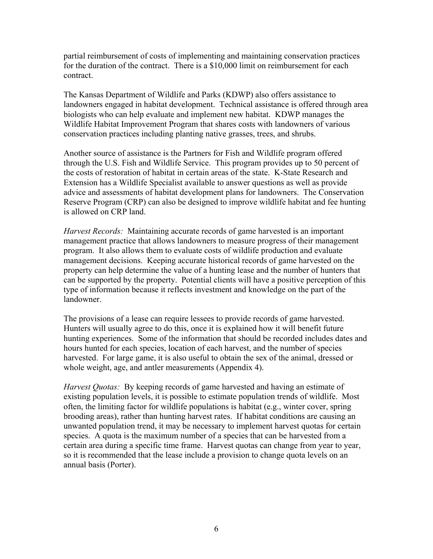partial reimbursement of costs of implementing and maintaining conservation practices for the duration of the contract. There is a \$10,000 limit on reimbursement for each contract.

The Kansas Department of Wildlife and Parks (KDWP) also offers assistance to landowners engaged in habitat development. Technical assistance is offered through area biologists who can help evaluate and implement new habitat. KDWP manages the Wildlife Habitat Improvement Program that shares costs with landowners of various conservation practices including planting native grasses, trees, and shrubs.

Another source of assistance is the Partners for Fish and Wildlife program offered through the U.S. Fish and Wildlife Service. This program provides up to 50 percent of the costs of restoration of habitat in certain areas of the state. K-State Research and Extension has a Wildlife Specialist available to answer questions as well as provide advice and assessments of habitat development plans for landowners. The Conservation Reserve Program (CRP) can also be designed to improve wildlife habitat and fee hunting is allowed on CRP land.

*Harvest Records:* Maintaining accurate records of game harvested is an important management practice that allows landowners to measure progress of their management program. It also allows them to evaluate costs of wildlife production and evaluate management decisions. Keeping accurate historical records of game harvested on the property can help determine the value of a hunting lease and the number of hunters that can be supported by the property. Potential clients will have a positive perception of this type of information because it reflects investment and knowledge on the part of the landowner.

The provisions of a lease can require lessees to provide records of game harvested. Hunters will usually agree to do this, once it is explained how it will benefit future hunting experiences. Some of the information that should be recorded includes dates and hours hunted for each species, location of each harvest, and the number of species harvested. For large game, it is also useful to obtain the sex of the animal, dressed or whole weight, age, and antler measurements (Appendix 4).

*Harvest Quotas:* By keeping records of game harvested and having an estimate of existing population levels, it is possible to estimate population trends of wildlife. Most often, the limiting factor for wildlife populations is habitat (e.g., winter cover, spring brooding areas), rather than hunting harvest rates. If habitat conditions are causing an unwanted population trend, it may be necessary to implement harvest quotas for certain species. A quota is the maximum number of a species that can be harvested from a certain area during a specific time frame. Harvest quotas can change from year to year, so it is recommended that the lease include a provision to change quota levels on an annual basis (Porter).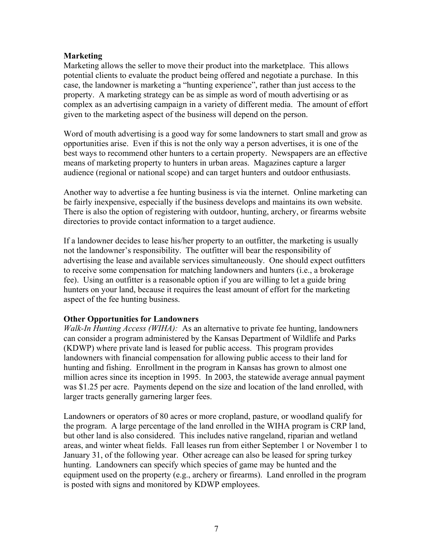#### **Marketing**

Marketing allows the seller to move their product into the marketplace. This allows potential clients to evaluate the product being offered and negotiate a purchase. In this case, the landowner is marketing a "hunting experience", rather than just access to the property. A marketing strategy can be as simple as word of mouth advertising or as complex as an advertising campaign in a variety of different media. The amount of effort given to the marketing aspect of the business will depend on the person.

Word of mouth advertising is a good way for some landowners to start small and grow as opportunities arise. Even if this is not the only way a person advertises, it is one of the best ways to recommend other hunters to a certain property. Newspapers are an effective means of marketing property to hunters in urban areas. Magazines capture a larger audience (regional or national scope) and can target hunters and outdoor enthusiasts.

Another way to advertise a fee hunting business is via the internet. Online marketing can be fairly inexpensive, especially if the business develops and maintains its own website. There is also the option of registering with outdoor, hunting, archery, or firearms website directories to provide contact information to a target audience.

If a landowner decides to lease his/her property to an outfitter, the marketing is usually not the landowner's responsibility. The outfitter will bear the responsibility of advertising the lease and available services simultaneously. One should expect outfitters to receive some compensation for matching landowners and hunters (i.e., a brokerage fee). Using an outfitter is a reasonable option if you are willing to let a guide bring hunters on your land, because it requires the least amount of effort for the marketing aspect of the fee hunting business.

#### **Other Opportunities for Landowners**

*Walk-In Hunting Access (WIHA):* As an alternative to private fee hunting, landowners can consider a program administered by the Kansas Department of Wildlife and Parks (KDWP) where private land is leased for public access. This program provides landowners with financial compensation for allowing public access to their land for hunting and fishing. Enrollment in the program in Kansas has grown to almost one million acres since its inception in 1995. In 2003, the statewide average annual payment was \$1.25 per acre. Payments depend on the size and location of the land enrolled, with larger tracts generally garnering larger fees.

Landowners or operators of 80 acres or more cropland, pasture, or woodland qualify for the program. A large percentage of the land enrolled in the WIHA program is CRP land, but other land is also considered. This includes native rangeland, riparian and wetland areas, and winter wheat fields. Fall leases run from either September 1 or November 1 to January 31, of the following year. Other acreage can also be leased for spring turkey hunting. Landowners can specify which species of game may be hunted and the equipment used on the property (e.g., archery or firearms). Land enrolled in the program is posted with signs and monitored by KDWP employees.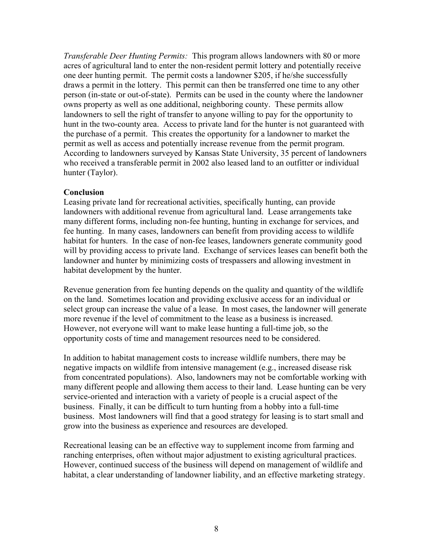*Transferable Deer Hunting Permits:* This program allows landowners with 80 or more acres of agricultural land to enter the non-resident permit lottery and potentially receive one deer hunting permit. The permit costs a landowner \$205, if he/she successfully draws a permit in the lottery. This permit can then be transferred one time to any other person (in-state or out-of-state). Permits can be used in the county where the landowner owns property as well as one additional, neighboring county. These permits allow landowners to sell the right of transfer to anyone willing to pay for the opportunity to hunt in the two-county area. Access to private land for the hunter is not guaranteed with the purchase of a permit. This creates the opportunity for a landowner to market the permit as well as access and potentially increase revenue from the permit program. According to landowners surveyed by Kansas State University, 35 percent of landowners who received a transferable permit in 2002 also leased land to an outfitter or individual hunter (Taylor).

#### **Conclusion**

Leasing private land for recreational activities, specifically hunting, can provide landowners with additional revenue from agricultural land. Lease arrangements take many different forms, including non-fee hunting, hunting in exchange for services, and fee hunting. In many cases, landowners can benefit from providing access to wildlife habitat for hunters. In the case of non-fee leases, landowners generate community good will by providing access to private land. Exchange of services leases can benefit both the landowner and hunter by minimizing costs of trespassers and allowing investment in habitat development by the hunter.

Revenue generation from fee hunting depends on the quality and quantity of the wildlife on the land. Sometimes location and providing exclusive access for an individual or select group can increase the value of a lease. In most cases, the landowner will generate more revenue if the level of commitment to the lease as a business is increased. However, not everyone will want to make lease hunting a full-time job, so the opportunity costs of time and management resources need to be considered.

In addition to habitat management costs to increase wildlife numbers, there may be negative impacts on wildlife from intensive management (e.g., increased disease risk from concentrated populations). Also, landowners may not be comfortable working with many different people and allowing them access to their land. Lease hunting can be very service-oriented and interaction with a variety of people is a crucial aspect of the business. Finally, it can be difficult to turn hunting from a hobby into a full-time business. Most landowners will find that a good strategy for leasing is to start small and grow into the business as experience and resources are developed.

Recreational leasing can be an effective way to supplement income from farming and ranching enterprises, often without major adjustment to existing agricultural practices. However, continued success of the business will depend on management of wildlife and habitat, a clear understanding of landowner liability, and an effective marketing strategy.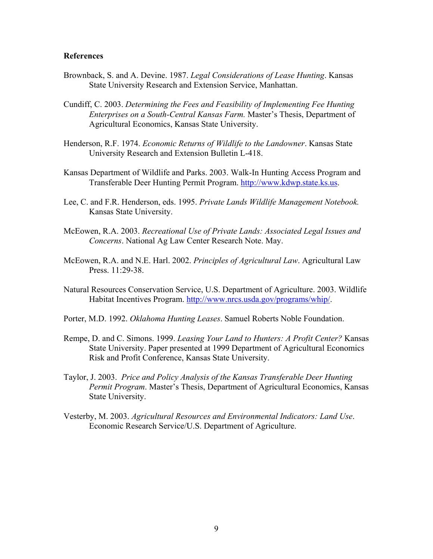#### **References**

- Brownback, S. and A. Devine. 1987. *Legal Considerations of Lease Hunting*. Kansas State University Research and Extension Service, Manhattan.
- Cundiff, C. 2003. *Determining the Fees and Feasibility of Implementing Fee Hunting Enterprises on a South-Central Kansas Farm.* Master's Thesis, Department of Agricultural Economics, Kansas State University.
- Henderson, R.F. 1974. *Economic Returns of Wildlife to the Landowner*. Kansas State University Research and Extension Bulletin L-418.
- Kansas Department of Wildlife and Parks. 2003. Walk-In Hunting Access Program and Transferable Deer Hunting Permit Program. http://www.kdwp.state.ks.us.
- Lee, C. and F.R. Henderson, eds. 1995. *Private Lands Wildlife Management Notebook.* Kansas State University.
- McEowen, R.A. 2003. *Recreational Use of Private Lands: Associated Legal Issues and Concerns*. National Ag Law Center Research Note. May.
- McEowen, R.A. and N.E. Harl. 2002. *Principles of Agricultural Law*. Agricultural Law Press. 11:29-38.
- Natural Resources Conservation Service, U.S. Department of Agriculture. 2003. Wildlife Habitat Incentives Program. http://www.nrcs.usda.gov/programs/whip/.
- Porter, M.D. 1992. *Oklahoma Hunting Leases*. Samuel Roberts Noble Foundation.
- Rempe, D. and C. Simons. 1999. *Leasing Your Land to Hunters: A Profit Center?* Kansas State University. Paper presented at 1999 Department of Agricultural Economics Risk and Profit Conference, Kansas State University.
- Taylor, J. 2003. *Price and Policy Analysis of the Kansas Transferable Deer Hunting Permit Program*. Master's Thesis, Department of Agricultural Economics, Kansas State University.
- Vesterby, M. 2003. *Agricultural Resources and Environmental Indicators: Land Use*. Economic Research Service/U.S. Department of Agriculture.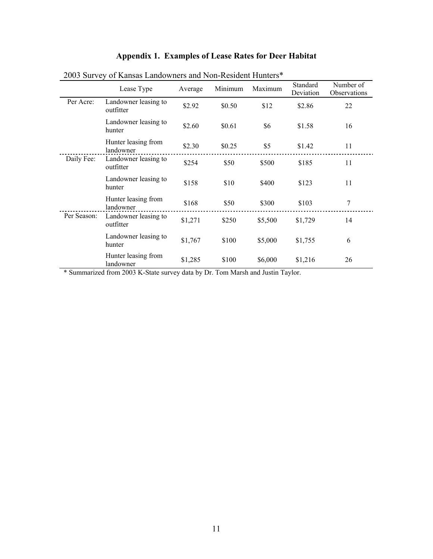| 2003 Survey of Kansas Landowners and Non-Resident Hunters* |                                   |         |         |         |                       |                           |  |  |
|------------------------------------------------------------|-----------------------------------|---------|---------|---------|-----------------------|---------------------------|--|--|
|                                                            | Lease Type                        | Average | Minimum | Maximum | Standard<br>Deviation | Number of<br>Observations |  |  |
| Per Acre:                                                  | Landowner leasing to<br>outfitter | \$2.92  | \$0.50  | \$12    | \$2.86                | 22                        |  |  |
|                                                            | Landowner leasing to<br>hunter    | \$2.60  | \$0.61  | \$6     | \$1.58                | 16                        |  |  |
|                                                            | Hunter leasing from<br>landowner  | \$2.30  | \$0.25  | \$5     | \$1.42                | 11                        |  |  |
| Daily Fee:                                                 | Landowner leasing to<br>outfitter | \$254   | \$50    | \$500   | \$185                 | 11                        |  |  |
|                                                            | Landowner leasing to<br>hunter    | \$158   | \$10    | \$400   | \$123                 | 11                        |  |  |
|                                                            | Hunter leasing from<br>landowner  | \$168   | \$50    | \$300   | \$103                 | 7                         |  |  |
| Per Season:                                                | Landowner leasing to<br>outfitter | \$1,271 | \$250   | \$5,500 | \$1,729               | 14                        |  |  |
|                                                            | Landowner leasing to<br>hunter    | \$1,767 | \$100   | \$5,000 | \$1,755               | 6                         |  |  |
|                                                            | Hunter leasing from<br>landowner  | \$1,285 | \$100   | \$6,000 | \$1,216               | 26                        |  |  |

## **Appendix 1. Examples of Lease Rates for Deer Habitat**

\* Summarized from 2003 K-State survey data by Dr. Tom Marsh and Justin Taylor.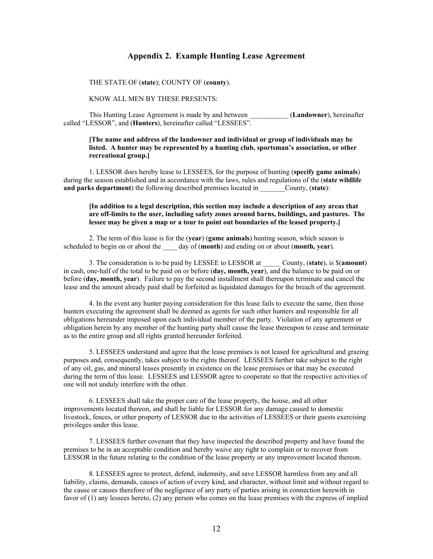#### **Appendix 2. Example Hunting Lease Agreement**

#### THE STATE OF (**state**); COUNTY OF (**county**).

#### KNOW ALL MEN BY THESE PRESENTS:

This Hunting Lease Agreement is made by and between \_\_\_\_\_\_\_\_\_\_\_ (**Landowner**), hereinafter called "LESSOR", and (**Hunters**), hereinafter called "LESSEES".

#### **[The name and address of the landowner and individual or group of individuals may be listed. A hunter may be represented by a hunting club, sportsman's association, or other recreational group.]**

1. LESSOR does hereby lease to LESSEES, for the purpose of hunting (**specify game animals**) during the season established and in accordance with the laws, rules and regulations of the (**state wildlife and parks department**) the following described premises located in County, (**state**):

#### **[In addition to a legal description, this section may include a description of any areas that are off-limits to the user, including safety zones around barns, buildings, and pastures. The lessee may be given a map or a tour to point out boundaries of the leased property.]**

2. The term of this lease is for the (**year**) (**game animals**) hunting season, which season is scheduled to begin on or about the \_\_\_\_ day of (**month**) and ending on or about (**month, year**).

3. The consideration is to be paid by LESSEE to LESSOR at \_\_\_\_\_ County, (**state**), is \$(**amount**) in cash, one-half of the total to be paid on or before (**day, month, year**), and the balance to be paid on or before (**day, month, year**). Failure to pay the second installment shall thereupon terminate and cancel the lease and the amount already paid shall be forfeited as liquidated damages for the breach of the agreement.

4. In the event any hunter paying consideration for this lease fails to execute the same, then those hunters executing the agreement shall be deemed as agents for such other hunters and responsible for all obligations hereunder imposed upon each individual member of the party. Violation of any agreement or obligation herein by any member of the hunting party shall cause the lease thereupon to cease and terminate as to the entire group and all rights granted hereunder forfeited.

5. LESSEES understand and agree that the lease premises is not leased for agricultural and grazing purposes and, consequently, takes subject to the rights thereof. LESSEES further take subject to the right of any oil, gas, and mineral leases presently in existence on the lease premises or that may be executed during the term of this lease. LESSEES and LESSOR agree to cooperate so that the respective activities of one will not unduly interfere with the other.

6. LESSEES shall take the proper care of the lease property, the house, and all other improvements located thereon, and shall be liable for LESSOR for any damage caused to domestic livestock, fences, or other property of LESSOR due to the activities of LESSEES or their guests exercising privileges under this lease.

7. LESSEES further covenant that they have inspected the described property and have found the premises to be in an acceptable condition and hereby waive any right to complain or to recover from LESSOR in the future relating to the condition of the lease property or any improvement located thereon.

8. LESSEES agree to protect, defend, indemnity, and save LESSOR harmless from any and all liability, claims, demands, causes of action of every kind, and character, without limit and without regard to the cause or causes therefore of the negligence of any party of parties arising in connection herewith in favor of (1) any lessees hereto, (2) any person who comes on the lease premises with the express of implied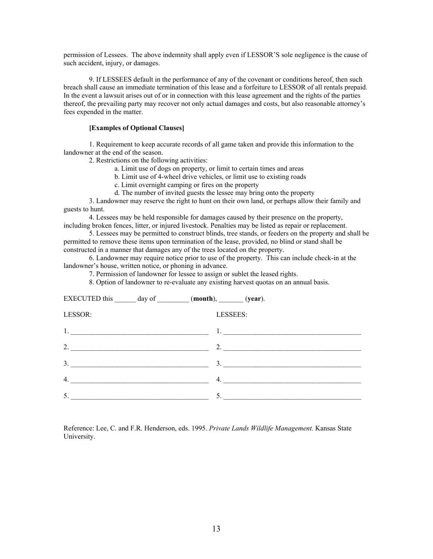permission of Lessees. The above indemnity shall apply even if LESSOR'S sole negligence is the cause of such accident, injury, or damages.

9. If LESSEES default in the performance of any of the covenant or conditions hereof, then such breach shall cause an immediate termination of this lease and a forfeiture to LESSOR of all rentals prepaid. In the event a lawsuit arises out of or in connection with this lease agreement and the rights of the parties thereof, the prevailing party may recover not only actual damages and costs, but also reasonable attorney's fees expended in the matter.

#### **[Examples of Optional Clauses]**

1. Requirement to keep accurate records of all game taken and provide this information to the landowner at the end of the season.

2. Restrictions on the following activities:

a. Limit use of dogs on property, or limit to certain times and areas

b. Limit use of 4-wheel drive vehicles, or limit use to existing roads

c. Limit overnight camping or fires on the property

d. The number of invited guests the lessee may bring onto the property

3. Landowner may reserve the right to hunt on their own land, or perhaps allow their family and guests to hunt.

4. Lessees may be held responsible for damages caused by their presence on the property, including broken fences, litter, or injured livestock. Penalties may be listed as repair or replacement.

5. Lessees may be permitted to construct blinds, tree stands, or feeders on the property and shall be permitted to remove these items upon termination of the lease, provided, no blind or stand shall be constructed in a manner that damages any of the trees located on the property.

6. Landowner may require notice prior to use of the property. This can include check-in at the landowner's house, written notice, or phoning in advance.

7. Permission of landowner for lessee to assign or sublet the leased rights.

8. Option of landowner to re-evaluate any existing harvest quotas on an annual basis.

|         | EXECUTED this $\_\_\_\_$ day of $\_\_\_\_\_$ (month), $\_\_\_\_\_$ (year). |                                                                                                                                                                                                                                                                                                                                                                                                                                                                        |
|---------|----------------------------------------------------------------------------|------------------------------------------------------------------------------------------------------------------------------------------------------------------------------------------------------------------------------------------------------------------------------------------------------------------------------------------------------------------------------------------------------------------------------------------------------------------------|
| LESSOR: | LESSEES:                                                                   |                                                                                                                                                                                                                                                                                                                                                                                                                                                                        |
|         |                                                                            | $1.$ $\overline{\phantom{a}}$ $\overline{\phantom{a}}$ $\overline{\phantom{a}}$ $\overline{\phantom{a}}$ $\overline{\phantom{a}}$ $\overline{\phantom{a}}$ $\overline{\phantom{a}}$ $\overline{\phantom{a}}$ $\overline{\phantom{a}}$ $\overline{\phantom{a}}$ $\overline{\phantom{a}}$ $\overline{\phantom{a}}$ $\overline{\phantom{a}}$ $\overline{\phantom{a}}$ $\overline{\phantom{a}}$ $\overline{\phantom{a}}$ $\overline{\phantom{a}}$ $\overline{\phantom{a}}$ |
| 2.      |                                                                            | 2.                                                                                                                                                                                                                                                                                                                                                                                                                                                                     |
| 3.      |                                                                            | 3.                                                                                                                                                                                                                                                                                                                                                                                                                                                                     |
| 4.      |                                                                            | 4.                                                                                                                                                                                                                                                                                                                                                                                                                                                                     |
| 5.      |                                                                            | 5.                                                                                                                                                                                                                                                                                                                                                                                                                                                                     |

Reference: Lee, C. and F.R. Henderson, eds. 1995. *Private Lands Wildlife Management.* Kansas State University.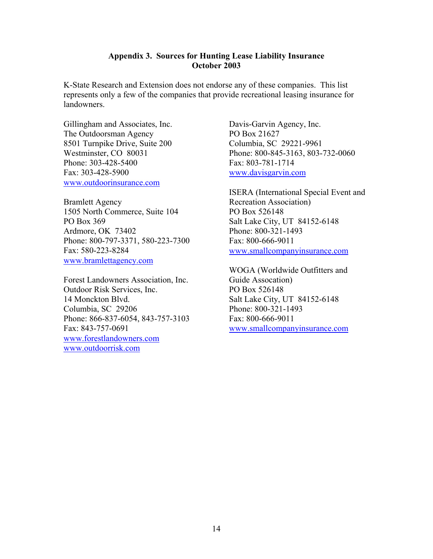#### **Appendix 3. Sources for Hunting Lease Liability Insurance October 2003**

K-State Research and Extension does not endorse any of these companies. This list represents only a few of the companies that provide recreational leasing insurance for landowners.

Gillingham and Associates, Inc. The Outdoorsman Agency 8501 Turnpike Drive, Suite 200 Westminster, CO 80031 Phone: 303-428-5400 Fax: 303-428-5900 www.outdoorinsurance.com

Bramlett Agency 1505 North Commerce, Suite 104 PO Box 369 Ardmore, OK 73402 Phone: 800-797-3371, 580-223-7300 Fax: 580-223-8284 www.bramlettagency.com

Forest Landowners Association, Inc. Outdoor Risk Services, Inc. 14 Monckton Blvd. Columbia, SC 29206 Phone: 866-837-6054, 843-757-3103 Fax: 843-757-0691 www.forestlandowners.com www.outdoorrisk.com

Davis-Garvin Agency, Inc. PO Box 21627 Columbia, SC 29221-9961 Phone: 800-845-3163, 803-732-0060 Fax: 803-781-1714 www.davisgarvin.com

ISERA (International Special Event and Recreation Association) PO Box 526148 Salt Lake City, UT 84152-6148 Phone: 800-321-1493 Fax: 800-666-9011 www.smallcompanyinsurance.com

WOGA (Worldwide Outfitters and Guide Assocation) PO Box 526148 Salt Lake City, UT 84152-6148 Phone: 800-321-1493 Fax: 800-666-9011 www.smallcompanyinsurance.com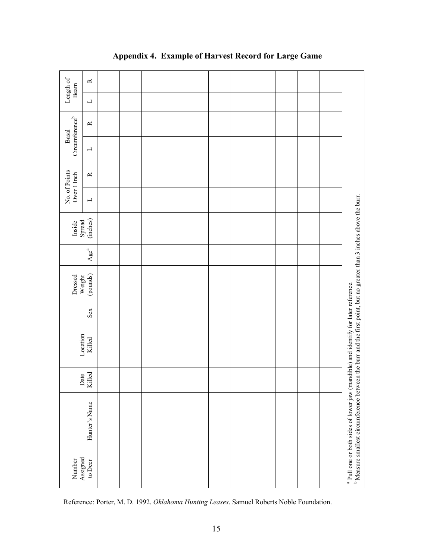| Length of<br>Beam            | $\approx$                |  |  |  |  |  |  |                                                                                                                                                                                                                                 |
|------------------------------|--------------------------|--|--|--|--|--|--|---------------------------------------------------------------------------------------------------------------------------------------------------------------------------------------------------------------------------------|
|                              | $\overline{\phantom{0}}$ |  |  |  |  |  |  |                                                                                                                                                                                                                                 |
| $Circumference^b$<br>Basal   | $\simeq$                 |  |  |  |  |  |  |                                                                                                                                                                                                                                 |
|                              | $\Box$                   |  |  |  |  |  |  |                                                                                                                                                                                                                                 |
| No. of Points<br>Over 1 Inch | $\simeq$                 |  |  |  |  |  |  |                                                                                                                                                                                                                                 |
|                              | $\Box$                   |  |  |  |  |  |  |                                                                                                                                                                                                                                 |
| Inside                       | Spread<br>(inches)       |  |  |  |  |  |  |                                                                                                                                                                                                                                 |
|                              | Age <sup>a</sup>         |  |  |  |  |  |  |                                                                                                                                                                                                                                 |
| Dressed                      | (pounds)<br>Weight       |  |  |  |  |  |  |                                                                                                                                                                                                                                 |
|                              | Sex                      |  |  |  |  |  |  |                                                                                                                                                                                                                                 |
|                              | Location<br>Killed       |  |  |  |  |  |  |                                                                                                                                                                                                                                 |
|                              | Killed<br>Date           |  |  |  |  |  |  |                                                                                                                                                                                                                                 |
|                              | Hunter's Name            |  |  |  |  |  |  | <sup>b</sup> Measure smallest circumference between the burr and the first point, but no greater than 3 inches above the burr.<br><sup>a</sup> Pull one or both sides of lower jaw (mandible) and identify for later reference. |
| Number<br>Assigned           | to Deer                  |  |  |  |  |  |  |                                                                                                                                                                                                                                 |

### **Appendix 4. Example of Harvest Record for Large Game**

Reference: Porter, M. D. 1992. *Oklahoma Hunting Leases*. Samuel Roberts Noble Foundation.